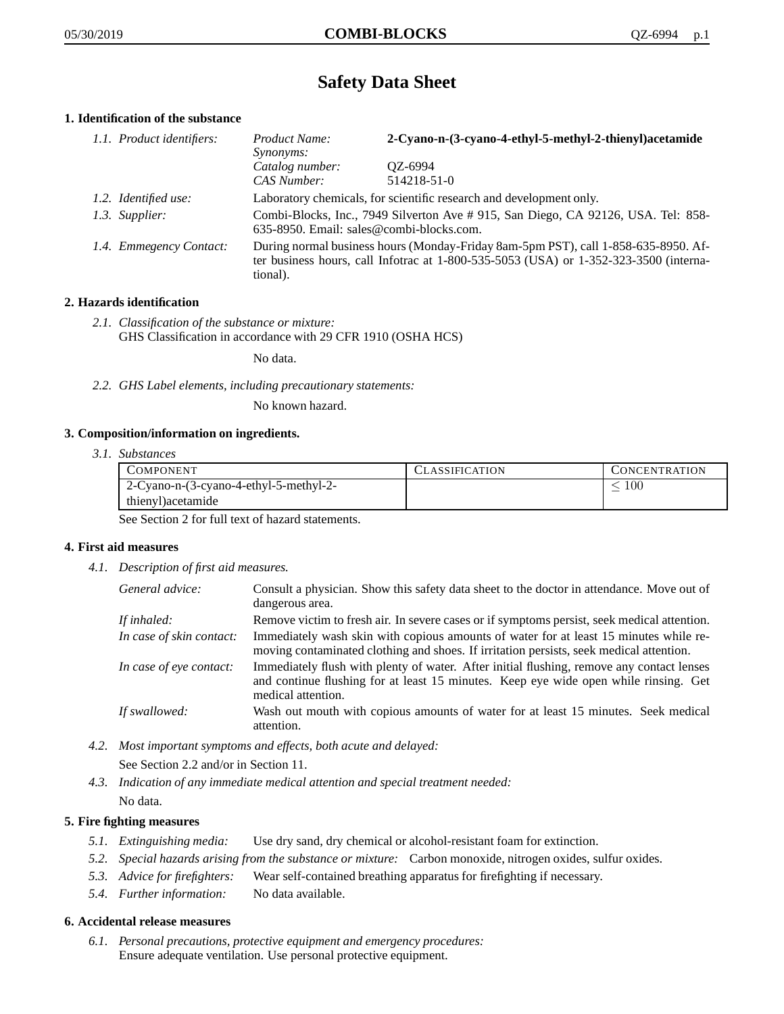# **Safety Data Sheet**

# **1. Identification of the substance**

| 1.1. Product identifiers: | Product Name:<br>Synonyms:                                                                                                                                                              | 2-Cyano-n-(3-cyano-4-ethyl-5-methyl-2-thienyl)acetamide |
|---------------------------|-----------------------------------------------------------------------------------------------------------------------------------------------------------------------------------------|---------------------------------------------------------|
|                           | Catalog number:<br>CAS Number:                                                                                                                                                          | OZ-6994<br>514218-51-0                                  |
| 1.2. Identified use:      | Laboratory chemicals, for scientific research and development only.                                                                                                                     |                                                         |
| 1.3. Supplier:            | Combi-Blocks, Inc., 7949 Silverton Ave # 915, San Diego, CA 92126, USA. Tel: 858-<br>635-8950. Email: sales@combi-blocks.com.                                                           |                                                         |
| 1.4. Emmegency Contact:   | During normal business hours (Monday-Friday 8am-5pm PST), call 1-858-635-8950. Af-<br>ter business hours, call Infotrac at 1-800-535-5053 (USA) or 1-352-323-3500 (interna-<br>tional). |                                                         |

# **2. Hazards identification**

*2.1. Classification of the substance or mixture:* GHS Classification in accordance with 29 CFR 1910 (OSHA HCS)

No data.

*2.2. GHS Label elements, including precautionary statements:*

No known hazard.

#### **3. Composition/information on ingredients.**

*3.1. Substances*

| <b>COMPONENT</b>                       | <b>CLASSIFICATION</b> | <b>CONCENTRATION</b> |
|----------------------------------------|-----------------------|----------------------|
| 2-Cyano-n-(3-cyano-4-ethyl-5-methyl-2- |                       | 100                  |
| thienyl) acetamide                     |                       |                      |

See Section 2 for full text of hazard statements.

#### **4. First aid measures**

*4.1. Description of first aid measures.*

| General advice:          | Consult a physician. Show this safety data sheet to the doctor in attendance. Move out of<br>dangerous area.                                                                                            |
|--------------------------|---------------------------------------------------------------------------------------------------------------------------------------------------------------------------------------------------------|
| If inhaled:              | Remove victim to fresh air. In severe cases or if symptoms persist, seek medical attention.                                                                                                             |
| In case of skin contact: | Immediately wash skin with copious amounts of water for at least 15 minutes while re-<br>moving contaminated clothing and shoes. If irritation persists, seek medical attention.                        |
| In case of eye contact:  | Immediately flush with plenty of water. After initial flushing, remove any contact lenses<br>and continue flushing for at least 15 minutes. Keep eye wide open while rinsing. Get<br>medical attention. |
| If swallowed:            | Wash out mouth with copious amounts of water for at least 15 minutes. Seek medical<br>attention.                                                                                                        |

*4.2. Most important symptoms and effects, both acute and delayed:*

See Section 2.2 and/or in Section 11.

*4.3. Indication of any immediate medical attention and special treatment needed:* No data.

#### **5. Fire fighting measures**

- *5.1. Extinguishing media:* Use dry sand, dry chemical or alcohol-resistant foam for extinction.
- *5.2. Special hazards arising from the substance or mixture:* Carbon monoxide, nitrogen oxides, sulfur oxides.
- *5.3. Advice for firefighters:* Wear self-contained breathing apparatus for firefighting if necessary.
- *5.4. Further information:* No data available.

## **6. Accidental release measures**

*6.1. Personal precautions, protective equipment and emergency procedures:* Ensure adequate ventilation. Use personal protective equipment.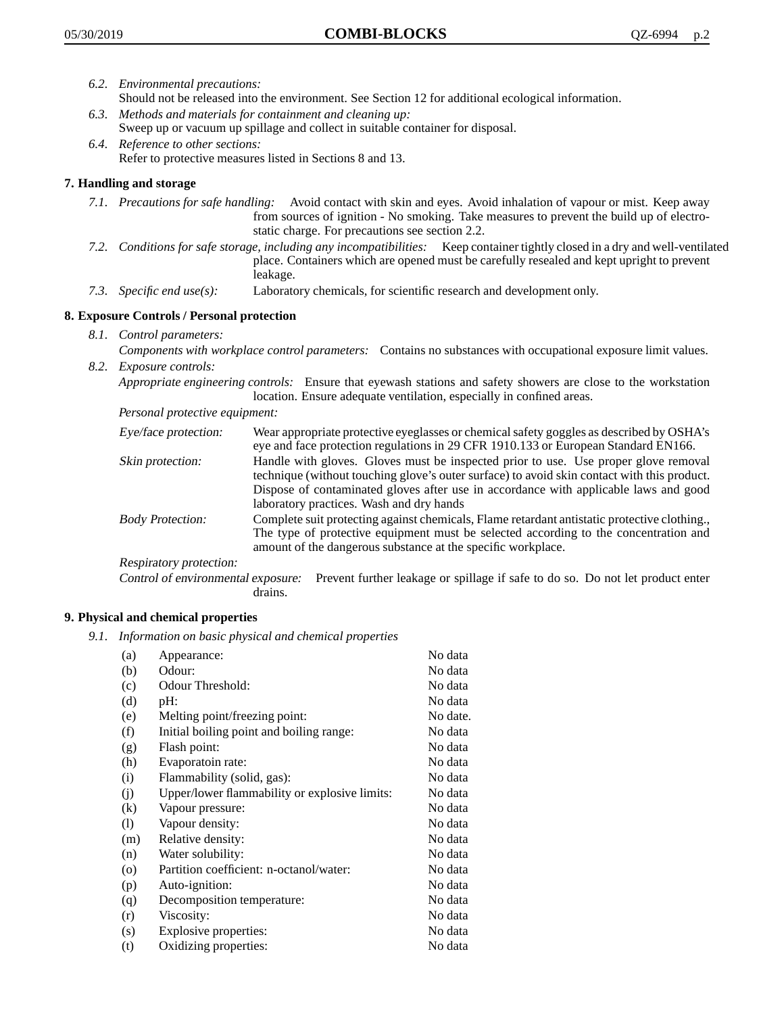- *6.2. Environmental precautions:* Should not be released into the environment. See Section 12 for additional ecological information.
- *6.3. Methods and materials for containment and cleaning up:* Sweep up or vacuum up spillage and collect in suitable container for disposal.
- *6.4. Reference to other sections:* Refer to protective measures listed in Sections 8 and 13.

# **7. Handling and storage**

- *7.1. Precautions for safe handling:* Avoid contact with skin and eyes. Avoid inhalation of vapour or mist. Keep away from sources of ignition - No smoking. Take measures to prevent the build up of electrostatic charge. For precautions see section 2.2.
- *7.2. Conditions for safe storage, including any incompatibilities:* Keep container tightly closed in a dry and well-ventilated place. Containers which are opened must be carefully resealed and kept upright to prevent leakage.
- *7.3. Specific end use(s):* Laboratory chemicals, for scientific research and development only.

## **8. Exposure Controls / Personal protection**

- *8.1. Control parameters:*
- *Components with workplace control parameters:* Contains no substances with occupational exposure limit values. *8.2. Exposure controls:*

*Appropriate engineering controls:* Ensure that eyewash stations and safety showers are close to the workstation location. Ensure adequate ventilation, especially in confined areas.

*Personal protective equipment:*

| Eye/face protection:    | Wear appropriate protective eyeglasses or chemical safety goggles as described by OSHA's<br>eye and face protection regulations in 29 CFR 1910.133 or European Standard EN166.                                                                                                                                         |
|-------------------------|------------------------------------------------------------------------------------------------------------------------------------------------------------------------------------------------------------------------------------------------------------------------------------------------------------------------|
| Skin protection:        | Handle with gloves. Gloves must be inspected prior to use. Use proper glove removal<br>technique (without touching glove's outer surface) to avoid skin contact with this product.<br>Dispose of contaminated gloves after use in accordance with applicable laws and good<br>laboratory practices. Wash and dry hands |
| <b>Body Protection:</b> | Complete suit protecting against chemicals, Flame retardant antistatic protective clothing.,<br>The type of protective equipment must be selected according to the concentration and<br>amount of the dangerous substance at the specific workplace.                                                                   |
| Respiratory protection: |                                                                                                                                                                                                                                                                                                                        |

Control of environmental exposure: Prevent further leakage or spillage if safe to do so. Do not let product enter drains.

#### **9. Physical and chemical properties**

*9.1. Information on basic physical and chemical properties*

| (a)      | Appearance:                                   | No data  |
|----------|-----------------------------------------------|----------|
| (b)      | Odour:                                        | No data  |
| (c)      | Odour Threshold:                              | No data  |
| (d)      | pH:                                           | No data  |
| (e)      | Melting point/freezing point:                 | No date. |
| (f)      | Initial boiling point and boiling range:      | No data  |
| (g)      | Flash point:                                  | No data  |
| (h)      | Evaporatoin rate:                             | No data  |
| (i)      | Flammability (solid, gas):                    | No data  |
| (i)      | Upper/lower flammability or explosive limits: | No data  |
| $\rm(k)$ | Vapour pressure:                              | No data  |
| (1)      | Vapour density:                               | No data  |
| (m)      | Relative density:                             | No data  |
| (n)      | Water solubility:                             | No data  |
| $\circ$  | Partition coefficient: n-octanol/water:       | No data  |
| (p)      | Auto-ignition:                                | No data  |
| (q)      | Decomposition temperature:                    | No data  |
| (r)      | Viscosity:                                    | No data  |
| (s)      | Explosive properties:                         | No data  |
| (t)      | Oxidizing properties:                         | No data  |